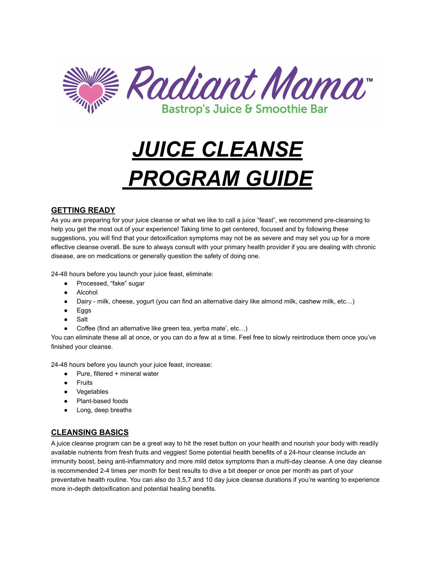

# *JUICE CLEANSE PROGRAM GUIDE*

## **GETTING READY**

As you are preparing for your juice cleanse or what we like to call a juice "feast", we recommend pre-cleansing to help you get the most out of your experience! Taking time to get centered, focused and by following these suggestions, you will find that your detoxification symptoms may not be as severe and may set you up for a more effective cleanse overall. Be sure to always consult with your primary health provider if you are dealing with chronic disease, are on medications or generally question the safety of doing one.

24-48 hours before you launch your juice feast, eliminate:

- Processed, "fake" sugar
- Alcohol
- Dairy milk, cheese, yogurt (you can find an alternative dairy like almond milk, cashew milk, etc…)
- Eggs
- Salt
- Coffee (find an alternative like green tea, yerba mate', etc...)

You can eliminate these all at once, or you can do a few at a time. Feel free to slowly reintroduce them once you've finished your cleanse.

24-48 hours before you launch your juice feast, increase:

- Pure, filtered + mineral water
- Fruits
- Vegetables
- Plant-based foods
- Long, deep breaths

### **CLEANSING BASICS**

A juice cleanse program can be a great way to hit the reset button on your health and nourish your body with readily available nutrients from fresh fruits and veggies! Some potential health benefits of a 24-hour cleanse include an immunity boost, being anti-inflammatory and more mild detox symptoms than a multi-day cleanse. A one day cleanse is recommended 2-4 times per month for best results to dive a bit deeper or once per month as part of your preventative health routine. You can also do 3,5,7 and 10 day juice cleanse durations if you're wanting to experience more in-depth detoxification and potential healing benefits.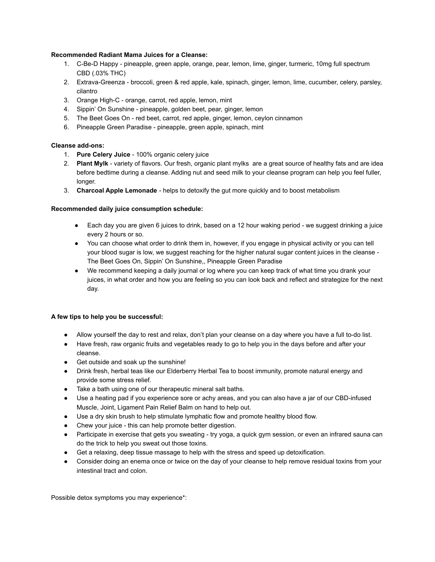#### **Recommended Radiant Mama Juices for a Cleanse:**

- 1. C-Be-D Happy pineapple, green apple, orange, pear, lemon, lime, ginger, turmeric, 10mg full spectrum CBD (.03% THC)
- 2. Extrava-Greenza broccoli, green & red apple, kale, spinach, ginger, lemon, lime, cucumber, celery, parsley, cilantro
- 3. Orange High-C orange, carrot, red apple, lemon, mint
- 4. Sippin' On Sunshine pineapple, golden beet, pear, ginger, lemon
- 5. The Beet Goes On red beet, carrot, red apple, ginger, lemon, ceylon cinnamon
- 6. Pineapple Green Paradise pineapple, green apple, spinach, mint

#### **Cleanse add-ons:**

- 1. **Pure Celery Juice** 100% organic celery juice
- 2. **Plant Mylk** variety of flavors. Our fresh, organic plant mylks are a great source of healthy fats and are idea before bedtime during a cleanse. Adding nut and seed milk to your cleanse program can help you feel fuller, longer.
- 3. **Charcoal Apple Lemonade** helps to detoxify the gut more quickly and to boost metabolism

#### **Recommended daily juice consumption schedule:**

- Each day you are given 6 juices to drink, based on a 12 hour waking period we suggest drinking a juice every 2 hours or so.
- You can choose what order to drink them in, however, if you engage in physical activity or you can tell your blood sugar is low, we suggest reaching for the higher natural sugar content juices in the cleanse - The Beet Goes On, Sippin' On Sunshine,, Pineapple Green Paradise
- We recommend keeping a daily journal or log where you can keep track of what time you drank your juices, in what order and how you are feeling so you can look back and reflect and strategize for the next day.

#### **A few tips to help you be successful:**

- Allow yourself the day to rest and relax, don't plan your cleanse on a day where you have a full to-do list.
- Have fresh, raw organic fruits and vegetables ready to go to help you in the days before and after your cleanse.
- Get outside and soak up the sunshine!
- Drink fresh, herbal teas like our Elderberry Herbal Tea to boost immunity, promote natural energy and provide some stress relief.
- Take a bath using one of our therapeutic mineral salt baths.
- Use a heating pad if you experience sore or achy areas, and you can also have a jar of our CBD-infused Muscle, Joint, Ligament Pain Relief Balm on hand to help out.
- Use a dry skin brush to help stimulate lymphatic flow and promote healthy blood flow.
- Chew your juice this can help promote better digestion.
- Participate in exercise that gets you sweating try yoga, a quick gym session, or even an infrared sauna can do the trick to help you sweat out those toxins.
- Get a relaxing, deep tissue massage to help with the stress and speed up detoxification.
- Consider doing an enema once or twice on the day of your cleanse to help remove residual toxins from your intestinal tract and colon.

Possible detox symptoms you may experience\*: